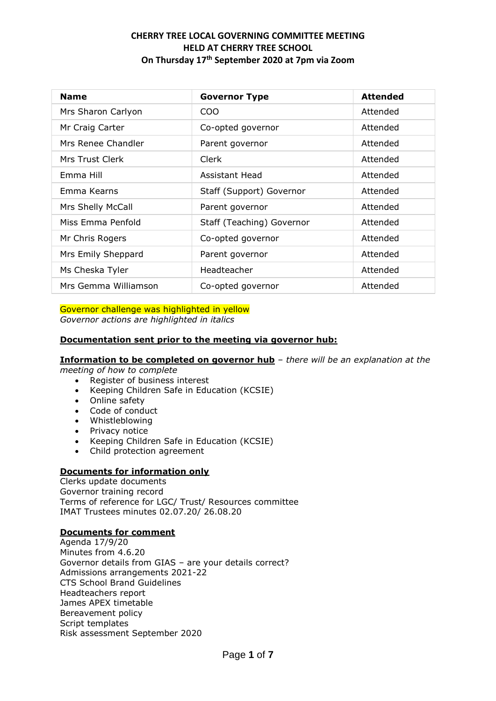| <b>Name</b>          | <b>Governor Type</b>      | <b>Attended</b> |
|----------------------|---------------------------|-----------------|
| Mrs Sharon Carlyon   | COO                       | Attended        |
| Mr Craig Carter      | Co-opted governor         | Attended        |
| Mrs Renee Chandler   | Parent governor           | Attended        |
| Mrs Trust Clerk      | Clerk                     | Attended        |
| Emma Hill            | Assistant Head            | Attended        |
| Emma Kearns          | Staff (Support) Governor  | Attended        |
| Mrs Shelly McCall    | Parent governor           | Attended        |
| Miss Emma Penfold    | Staff (Teaching) Governor | Attended        |
| Mr Chris Rogers      | Co-opted governor         | Attended        |
| Mrs Emily Sheppard   | Parent governor           | Attended        |
| Ms Cheska Tyler      | Headteacher               | Attended        |
| Mrs Gemma Williamson | Co-opted governor         | Attended        |

Governor challenge was highlighted in yellow

*Governor actions are highlighted in italics*

### **Documentation sent prior to the meeting via governor hub:**

#### **Information to be completed on governor hub** – *there will be an explanation at the*

*meeting of how to complete*

- Register of business interest
- Keeping Children Safe in Education (KCSIE)
- Online safety
- Code of conduct
- Whistleblowing
- Privacy notice
- Keeping Children Safe in Education (KCSIE)
- Child protection agreement

### **Documents for information only**

Clerks update documents Governor training record Terms of reference for LGC/ Trust/ Resources committee IMAT Trustees minutes 02.07.20/ 26.08.20

### **Documents for comment**

Agenda 17/9/20 Minutes from 4.6.20 Governor details from GIAS – are your details correct? Admissions arrangements 2021-22 CTS School Brand Guidelines Headteachers report James APEX timetable Bereavement policy Script templates Risk assessment September 2020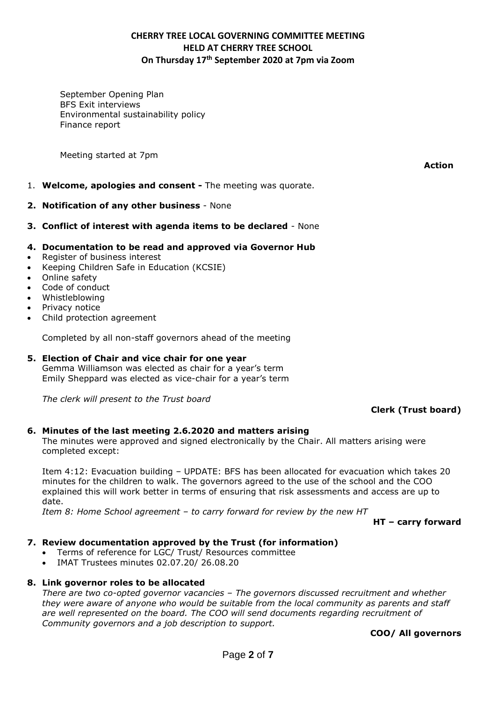September Opening Plan BFS Exit interviews Environmental sustainability policy Finance report

Meeting started at 7pm

**Action**

- 1. **Welcome, apologies and consent -** The meeting was quorate.
- **2. Notification of any other business**  None
- **3. Conflict of interest with agenda items to be declared** None
- **4. Documentation to be read and approved via Governor Hub**
- Register of business interest
- Keeping Children Safe in Education (KCSIE)
- Online safety
- Code of conduct
- Whistleblowing
- Privacy notice
- Child protection agreement

Completed by all non-staff governors ahead of the meeting

### **5. Election of Chair and vice chair for one year**

Gemma Williamson was elected as chair for a year's term Emily Sheppard was elected as vice-chair for a year's term

*The clerk will present to the Trust board*

### **Clerk (Trust board)**

### **6. Minutes of the last meeting 2.6.2020 and matters arising**

The minutes were approved and signed electronically by the Chair. All matters arising were completed except:

Item 4:12: Evacuation building – UPDATE: BFS has been allocated for evacuation which takes 20 minutes for the children to walk. The governors agreed to the use of the school and the COO explained this will work better in terms of ensuring that risk assessments and access are up to date.

*Item 8: Home School agreement – to carry forward for review by the new HT*

**HT – carry forward**

### **7. Review documentation approved by the Trust (for information)**

- Terms of reference for LGC/ Trust/ Resources committee
- IMAT Trustees minutes 02.07.20/ 26.08.20

#### **8. Link governor roles to be allocated**

*There are two co-opted governor vacancies – The governors discussed recruitment and whether they were aware of anyone who would be suitable from the local community as parents and staff are well represented on the board. The COO will send documents regarding recruitment of Community governors and a job description to support.*

**COO/ All governors**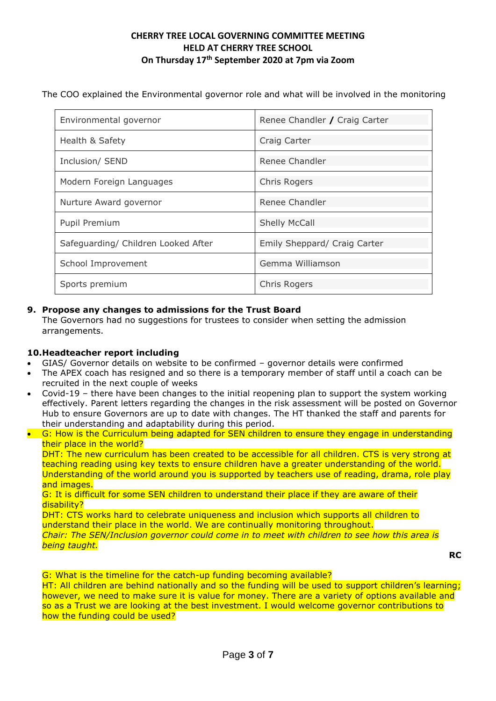The COO explained the Environmental governor role and what will be involved in the monitoring

| Environmental governor              | Renee Chandler / Craig Carter |
|-------------------------------------|-------------------------------|
| Health & Safety                     | Craig Carter                  |
| Inclusion/ SEND                     | Renee Chandler                |
| Modern Foreign Languages            | <b>Chris Rogers</b>           |
| Nurture Award governor              | Renee Chandler                |
| Pupil Premium                       | <b>Shelly McCall</b>          |
| Safeguarding/ Children Looked After | Emily Sheppard/ Craig Carter  |
| School Improvement                  | Gemma Williamson              |
| Sports premium                      | Chris Rogers                  |

### **9. Propose any changes to admissions for the Trust Board**

The Governors had no suggestions for trustees to consider when setting the admission arrangements.

### **10.Headteacher report including**

- GIAS/ Governor details on website to be confirmed governor details were confirmed
- The APEX coach has resigned and so there is a temporary member of staff until a coach can be recruited in the next couple of weeks
- Covid-19 there have been changes to the initial reopening plan to support the system working effectively. Parent letters regarding the changes in the risk assessment will be posted on Governor Hub to ensure Governors are up to date with changes. The HT thanked the staff and parents for their understanding and adaptability during this period.
- G: How is the Curriculum being adapted for SEN children to ensure they engage in understanding their place in the world?

DHT: The new curriculum has been created to be accessible for all children. CTS is very strong at teaching reading using key texts to ensure children have a greater understanding of the world. Understanding of the world around you is supported by teachers use of reading, drama, role play and images.

G: It is difficult for some SEN children to understand their place if they are aware of their disability?

DHT: CTS works hard to celebrate uniqueness and inclusion which supports all children to understand their place in the world. We are continually monitoring throughout. *Chair: The SEN/Inclusion governor could come in to meet with children to see how this area is being taught.*

**RC**

G: What is the timeline for the catch-up funding becoming available?

HT: All children are behind nationally and so the funding will be used to support children's learning; however, we need to make sure it is value for money. There are a variety of options available and so as a Trust we are looking at the best investment. I would welcome governor contributions to how the funding could be used?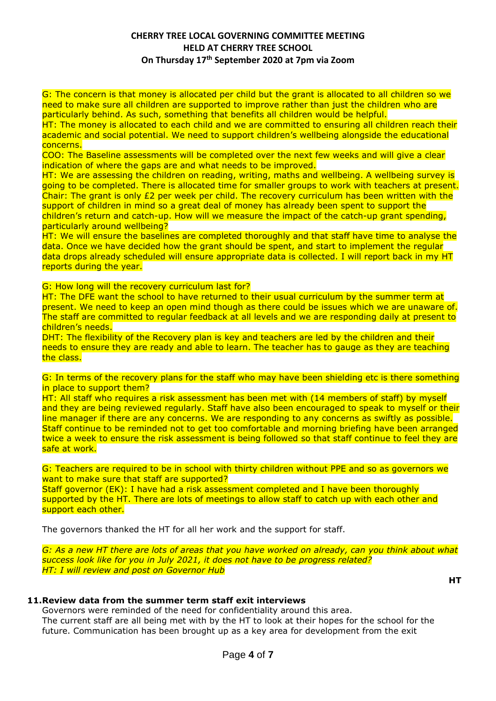G: The concern is that money is allocated per child but the grant is allocated to all children so we need to make sure all children are supported to improve rather than just the children who are particularly behind. As such, something that benefits all children would be helpful.

HT: The money is allocated to each child and we are committed to ensuring all children reach their academic and social potential. We need to support children's wellbeing alongside the educational concerns.

COO: The Baseline assessments will be completed over the next few weeks and will give a clear indication of where the gaps are and what needs to be improved.

HT: We are assessing the children on reading, writing, maths and wellbeing. A wellbeing survey is going to be completed. There is allocated time for smaller groups to work with teachers at present. Chair: The grant is only £2 per week per child. The recovery curriculum has been written with the support of children in mind so a great deal of money has already been spent to support the children's return and catch-up. How will we measure the impact of the catch-up grant spending, particularly around wellbeing?

HT: We will ensure the baselines are completed thoroughly and that staff have time to analyse the data. Once we have decided how the grant should be spent, and start to implement the regular data drops already scheduled will ensure appropriate data is collected. I will report back in my HT reports during the year.

G: How long will the recovery curriculum last for?

HT: The DFE want the school to have returned to their usual curriculum by the summer term at present. We need to keep an open mind though as there could be issues which we are unaware of. The staff are committed to regular feedback at all levels and we are responding daily at present to children's needs.

DHT: The flexibility of the Recovery plan is key and teachers are led by the children and their needs to ensure they are ready and able to learn. The teacher has to gauge as they are teaching the class.

G: In terms of the recovery plans for the staff who may have been shielding etc is there something in place to support them?

HT: All staff who requires a risk assessment has been met with (14 members of staff) by myself and they are being reviewed regularly. Staff have also been encouraged to speak to myself or their line manager if there are any concerns. We are responding to any concerns as swiftly as possible. Staff continue to be reminded not to get too comfortable and morning briefing have been arranged twice a week to ensure the risk assessment is being followed so that staff continue to feel they are safe at work.

G: Teachers are required to be in school with thirty children without PPE and so as governors we want to make sure that staff are supported?

Staff governor (EK): I have had a risk assessment completed and I have been thoroughly supported by the HT. There are lots of meetings to allow staff to catch up with each other and support each other.

The governors thanked the HT for all her work and the support for staff.

*G: As a new HT there are lots of areas that you have worked on already, can you think about what success look like for you in July 2021, it does not have to be progress related? HT: I will review and post on Governor Hub*

**HT**

### **11.Review data from the summer term staff exit interviews**

Governors were reminded of the need for confidentiality around this area. The current staff are all being met with by the HT to look at their hopes for the school for the future. Communication has been brought up as a key area for development from the exit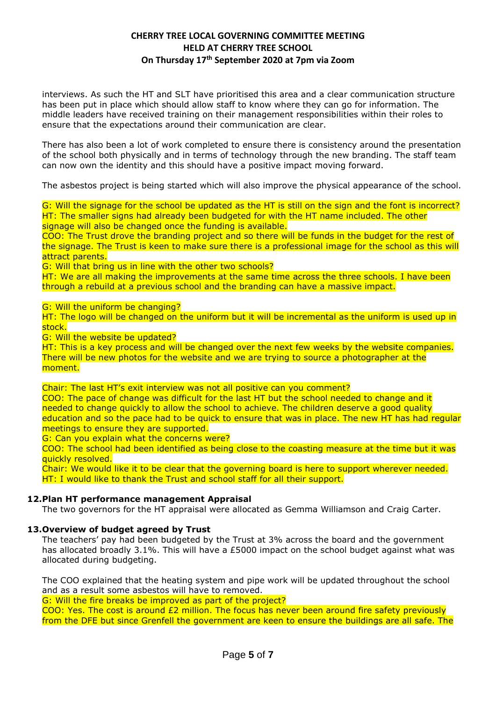interviews. As such the HT and SLT have prioritised this area and a clear communication structure has been put in place which should allow staff to know where they can go for information. The middle leaders have received training on their management responsibilities within their roles to ensure that the expectations around their communication are clear.

There has also been a lot of work completed to ensure there is consistency around the presentation of the school both physically and in terms of technology through the new branding. The staff team can now own the identity and this should have a positive impact moving forward.

The asbestos project is being started which will also improve the physical appearance of the school.

G: Will the signage for the school be updated as the HT is still on the sign and the font is incorrect? HT: The smaller signs had already been budgeted for with the HT name included. The other signage will also be changed once the funding is available.

COO: The Trust drove the branding project and so there will be funds in the budget for the rest of the signage. The Trust is keen to make sure there is a professional image for the school as this will attract parents.

G: Will that bring us in line with the other two schools?

HT: We are all making the improvements at the same time across the three schools. I have been through a rebuild at a previous school and the branding can have a massive impact.

G: Will the uniform be changing?

HT: The logo will be changed on the uniform but it will be incremental as the uniform is used up in stock.

G: Will the website be updated?

HT: This is a key process and will be changed over the next few weeks by the website companies. There will be new photos for the website and we are trying to source a photographer at the moment.

Chair: The last HT's exit interview was not all positive can you comment?

COO: The pace of change was difficult for the last HT but the school needed to change and it needed to change quickly to allow the school to achieve. The children deserve a good quality education and so the pace had to be quick to ensure that was in place. The new HT has had regular meetings to ensure they are supported.

G: Can you explain what the concerns were?

COO: The school had been identified as being close to the coasting measure at the time but it was quickly resolved.

Chair: We would like it to be clear that the governing board is here to support wherever needed. HT: I would like to thank the Trust and school staff for all their support.

#### **12.Plan HT performance management Appraisal**

The two governors for the HT appraisal were allocated as Gemma Williamson and Craig Carter.

#### **13.Overview of budget agreed by Trust**

The teachers' pay had been budgeted by the Trust at 3% across the board and the government has allocated broadly 3.1%. This will have a £5000 impact on the school budget against what was allocated during budgeting.

The COO explained that the heating system and pipe work will be updated throughout the school and as a result some asbestos will have to removed.

G: Will the fire breaks be improved as part of the project?

COO: Yes. The cost is around  $E2$  million. The focus has never been around fire safety previously from the DFE but since Grenfell the government are keen to ensure the buildings are all safe. The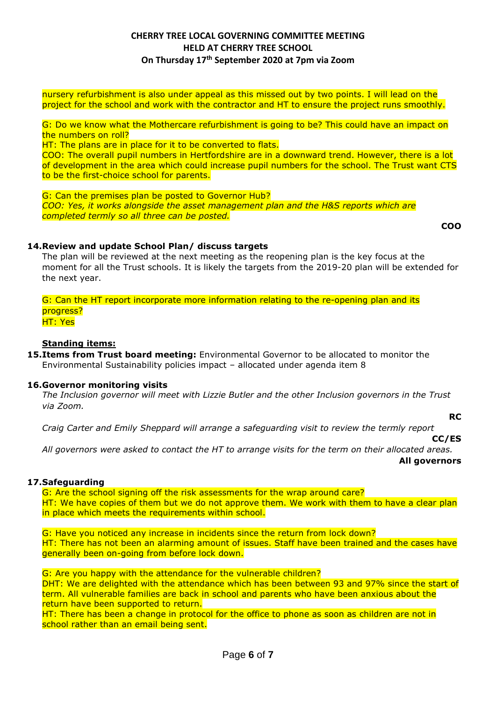nursery refurbishment is also under appeal as this missed out by two points. I will lead on the project for the school and work with the contractor and HT to ensure the project runs smoothly.

G: Do we know what the Mothercare refurbishment is going to be? This could have an impact on the numbers on roll?

HT: The plans are in place for it to be converted to flats.

COO: The overall pupil numbers in Hertfordshire are in a downward trend. However, there is a lot of development in the area which could increase pupil numbers for the school. The Trust want CTS to be the first-choice school for parents.

G: Can the premises plan be posted to Governor Hub? *COO: Yes, it works alongside the asset management plan and the H&S reports which are completed termly so all three can be posted.*

**COO**

### **14.Review and update School Plan/ discuss targets**

The plan will be reviewed at the next meeting as the reopening plan is the key focus at the moment for all the Trust schools. It is likely the targets from the 2019-20 plan will be extended for the next year.

G: Can the HT report incorporate more information relating to the re-opening plan and its progress? HT: Yes

### **Standing items:**

**15.Items from Trust board meeting:** Environmental Governor to be allocated to monitor the Environmental Sustainability policies impact – allocated under agenda item 8

### **16.Governor monitoring visits**

*The Inclusion governor will meet with Lizzie Butler and the other Inclusion governors in the Trust via Zoom.* 

**RC**

*Craig Carter and Emily Sheppard will arrange a safeguarding visit to review the termly report*

**CC/ES**

*All governors were asked to contact the HT to arrange visits for the term on their allocated areas.*  **All governors**

### **17.Safeguarding**

G: Are the school signing off the risk assessments for the wrap around care? HT: We have copies of them but we do not approve them. We work with them to have a clear plan in place which meets the requirements within school.

G: Have you noticed any increase in incidents since the return from lock down? HT: There has not been an alarming amount of issues. Staff have been trained and the cases have generally been on-going from before lock down.

G: Are you happy with the attendance for the vulnerable children?

DHT: We are delighted with the attendance which has been between 93 and 97% since the start of term. All vulnerable families are back in school and parents who have been anxious about the return have been supported to return.

HT: There has been a change in protocol for the office to phone as soon as children are not in school rather than an email being sent.